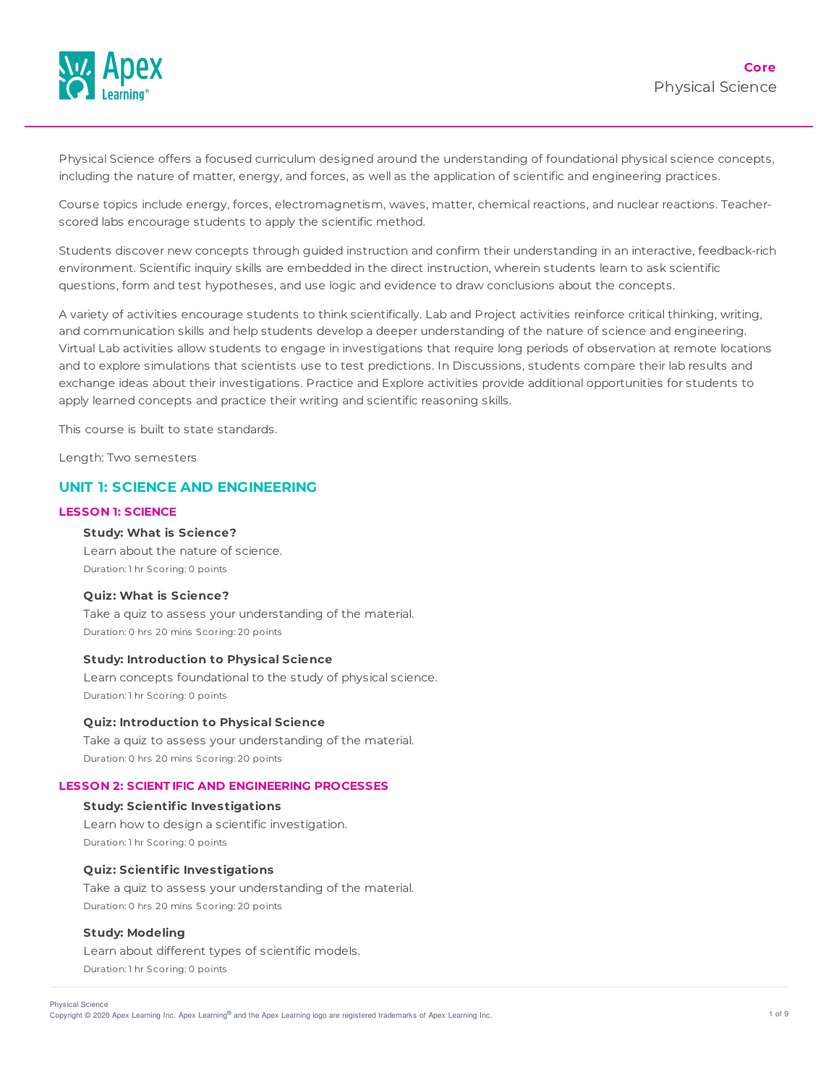

Physical Science offers a focused curriculum designed around the understanding of foundational physical science concepts, including the nature of matter, energy, and forces, as well as the application of scientific and engineering practices.

Course topics include energy, forces, electromagnetism, waves, matter, chemical reactions, and nuclear reactions. Teacherscored labs encourage students to apply the scientific method.

Students discover new concepts through guided instruction and confirm their understanding in an interactive, feedback-rich environment. Scientific inquiry skills are embedded in the direct instruction, wherein students learn to ask scientific questions, form and test hypotheses, and use logic and evidence to draw conclusions about the concepts.

A variety of activities encourage students to think scientifically. Lab and Project activities reinforce critical thinking, writing, and communication skills and help students develop a deeper understanding of the nature of science and engineering. Virtual Lab activities allow students to engage in investigations that require long periods of observation at remote locations and to explore simulations that scientists use to test predictions. In Discussions, students compare their lab results and exchange ideas about their investigations. Practice and Explore activities provide additional opportunities for students to apply learned concepts and practice their writing and scientific reasoning skills.

This course is built to state standards.

Length: Two semesters

# **UNIT 1: SCIENCE AND ENGINEERING**

#### **LESSON 1: SCIENCE**

## **Study: What is Science?**

Learn about the nature of science. Duration: 1 hr Scoring: 0 points

## **Quiz: What is Science?**

Take a quiz to assess your understanding of the material. Duration: 0 hrs 20 mins Scoring: 20 points

#### **Study: Introduction to Physical Science**

Learn concepts foundational to the study of physical science. Duration: 1 hr Scoring: 0 points

### **Quiz: Introduction to Physical Science**

Take a quiz to assess your understanding of the material. Duration: 0 hrs 20 mins Scoring: 20 points

## **LESSON 2: SCIENT IFIC AND ENGINEERING PROCESSES**

#### **Study: Scientific Investigations**

Learn how to design a scientific investigation. Duration: 1 hr Scoring: 0 points

#### **Quiz: Scientific Investigations**

Take a quiz to assess your understanding of the material. Duration: 0 hrs 20 mins Scoring: 20 points

# **Study: Modeling**

Learn about different types of scientific models. Duration: 1 hr Scoring: 0 points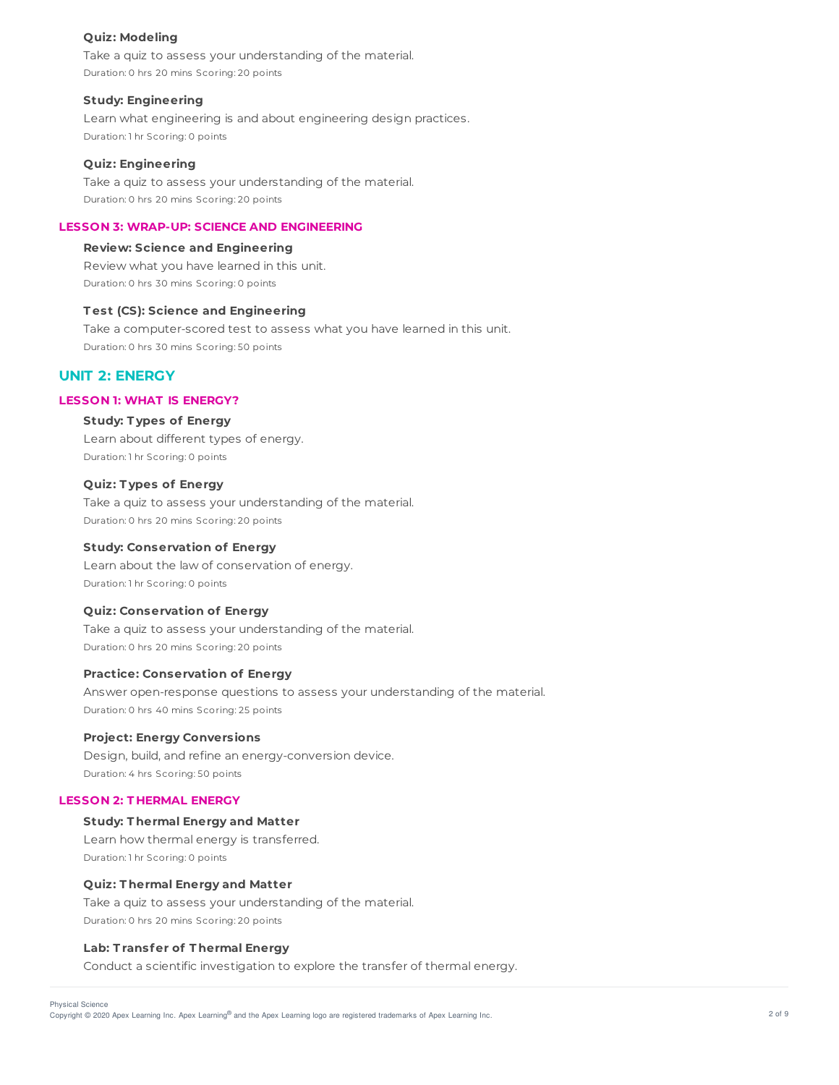## **Quiz: Modeling**

Take a quiz to assess your understanding of the material. Duration: 0 hrs 20 mins Scoring: 20 points

#### **Study: Engineering**

Learn what engineering is and about engineering design practices. Duration: 1 hr Scoring: 0 points

## **Quiz: Engineering**

Take a quiz to assess your understanding of the material. Duration: 0 hrs 20 mins Scoring: 20 points

# **LESSON 3: WRAP-UP: SCIENCE AND ENGINEERING**

# **Review: Science and Engineering**

Review what you have learned in this unit. Duration: 0 hrs 30 mins Scoring: 0 points

# **T est (CS): Science and Engineering**

Take a computer-scored test to assess what you have learned in this unit. Duration: 0 hrs 30 mins Scoring: 50 points

# **UNIT 2: ENERGY**

# **LESSON 1: WHAT IS ENERGY?**

**Study: T ypes of Energy** Learn about different types of energy.

Duration: 1 hr Scoring: 0 points

#### **Quiz: T ypes of Energy**

Take a quiz to assess your understanding of the material. Duration: 0 hrs 20 mins Scoring: 20 points

## **Study: Conservation of Energy**

Learn about the law of conservation of energy. Duration: 1 hr Scoring: 0 points

# **Quiz: Conservation of Energy**

Take a quiz to assess your understanding of the material. Duration: 0 hrs 20 mins Scoring: 20 points

## **Practice: Conservation of Energy**

Answer open-response questions to assess your understanding of the material. Duration: 0 hrs 40 mins Scoring: 25 points

# **Project: Energy Conversions**

Design, build, and refine an energy-conversion device. Duration: 4 hrs Scoring: 50 points

## **LESSON 2: T HERMAL ENERGY**

# **Study: T hermal Energy and Matter** Learn how thermal energy is transferred.

Duration: 1 hr Scoring: 0 points

#### **Quiz: T hermal Energy and Matter**

Take a quiz to assess your understanding of the material. Duration: 0 hrs 20 mins Scoring: 20 points

# **Lab: T ransfer of T hermal Energy**

Conduct a scientific investigation to explore the transfer of thermal energy.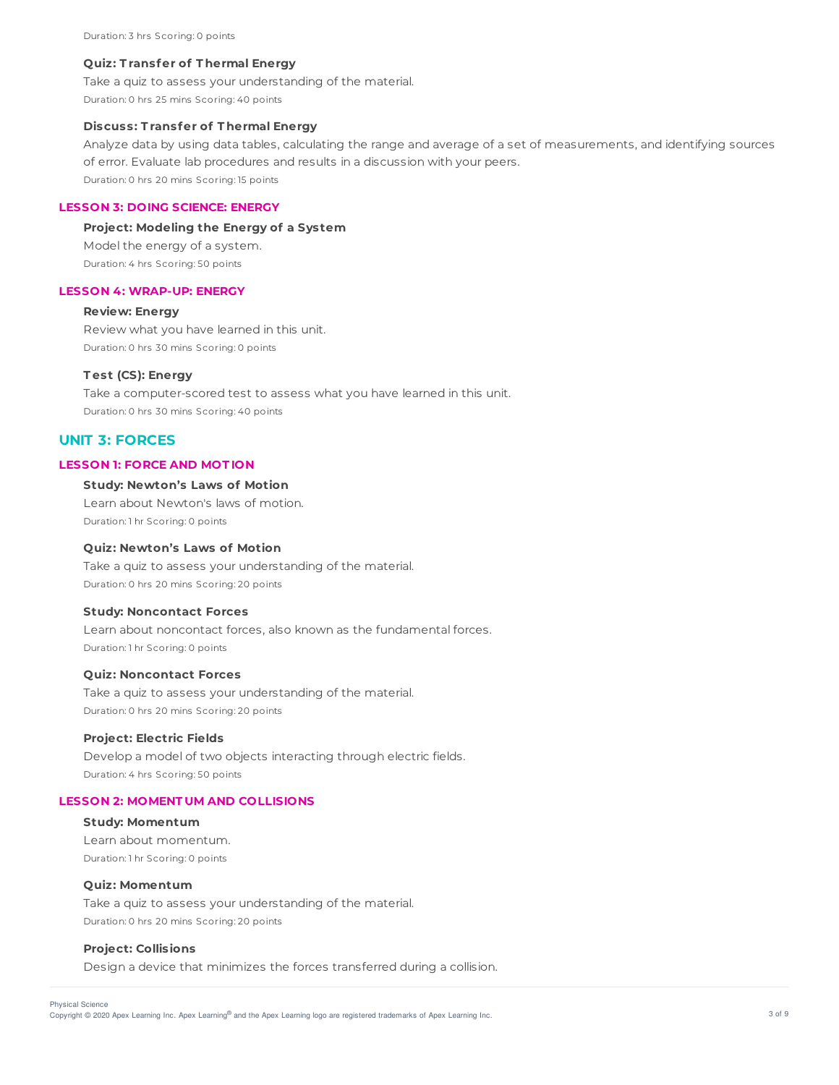#### **Quiz: T ransfer of T hermal Energy**

Take a quiz to assess your understanding of the material. Duration: 0 hrs 25 mins Scoring: 40 points

# **Discuss: T ransfer of T hermal Energy**

Analyze data by using data tables, calculating the range and average of a set of measurements, and identifying sources of error. Evaluate lab procedures and results in a discussion with your peers. Duration: 0 hrs 20 mins Scoring: 15 points

## **LESSON 3: DOING SCIENCE: ENERGY**

#### **Project: Modeling the Energy of a System**

Model the energy of a system. Duration: 4 hrs Scoring: 50 points

#### **LESSON 4: WRAP-UP: ENERGY**

#### **Review: Energy**

Review what you have learned in this unit. Duration: 0 hrs 30 mins Scoring: 0 points

## **T est (CS): Energy**

Take a computer-scored test to assess what you have learned in this unit. Duration: 0 hrs 30 mins Scoring: 40 points

# **UNIT 3: FORCES**

#### **LESSON 1: FORCE AND MOT ION**

### **Study: Newton's Laws of Motion**

Learn about Newton's laws of motion. Duration: 1 hr Scoring: 0 points

#### **Quiz: Newton's Laws of Motion**

Take a quiz to assess your understanding of the material. Duration: 0 hrs 20 mins Scoring: 20 points

## **Study: Noncontact Forces**

Learn about noncontact forces, also known as the fundamental forces. Duration: 1 hr Scoring: 0 points

#### **Quiz: Noncontact Forces**

Take a quiz to assess your understanding of the material. Duration: 0 hrs 20 mins Scoring: 20 points

#### **Project: Electric Fields**

Develop a model of two objects interacting through electric fields. Duration: 4 hrs Scoring: 50 points

## **LESSON 2: MOMENT UM AND COLLISIONS**

**Study: Momentum** Learn about momentum. Duration: 1 hr Scoring: 0 points

#### **Quiz: Momentum**

Take a quiz to assess your understanding of the material. Duration: 0 hrs 20 mins Scoring: 20 points

# **Project: Collisions**

Design a device that minimizes the forces transferred during a collision.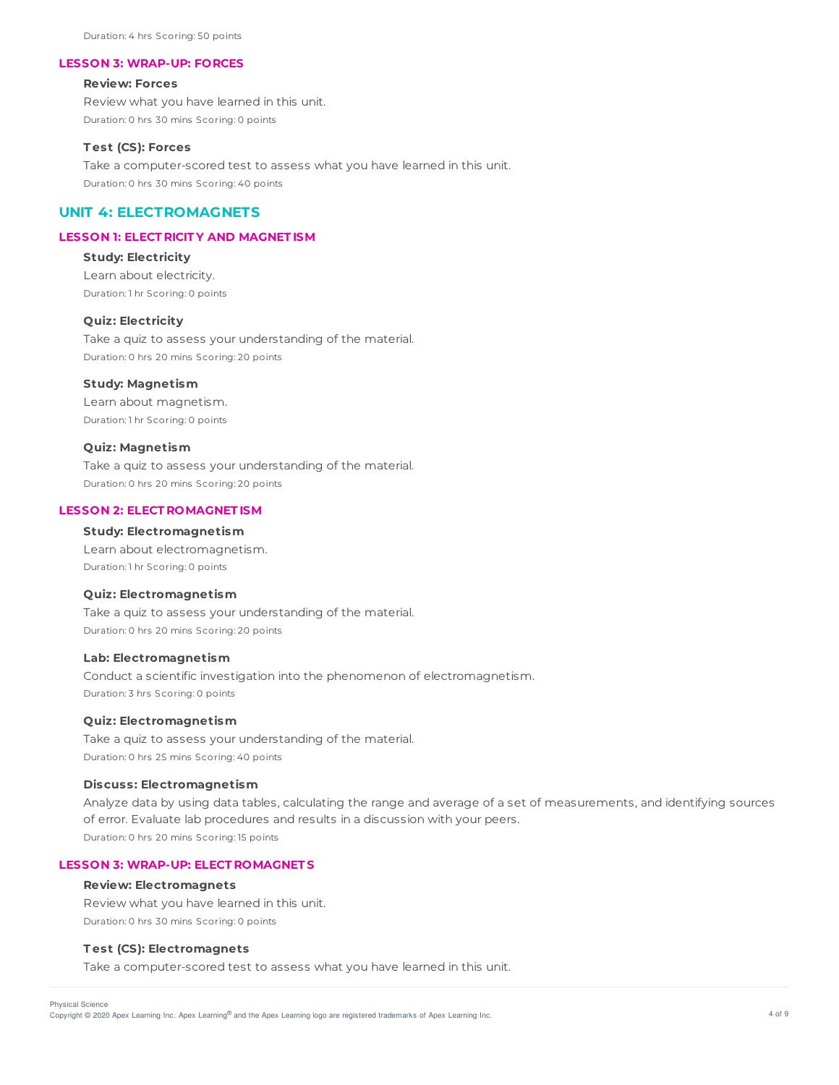Duration: 4 hrs Scoring: 50 points

#### **LESSON 3: WRAP-UP: FORCES**

#### **Review: Forces**

Review what you have learned in this unit. Duration: 0 hrs 30 mins Scoring: 0 points

#### **T est (CS): Forces**

Take a computer-scored test to assess what you have learned in this unit. Duration: 0 hrs 30 mins Scoring: 40 points

# **UNIT 4: ELECTROMAGNETS**

# **LESSON 1: ELECT RICIT Y AND MAGNET ISM**

# **Study: Electricity**

Learn about electricity. Duration: 1 hr Scoring: 0 points

# **Quiz: Electricity**

Take a quiz to assess your understanding of the material. Duration: 0 hrs 20 mins Scoring: 20 points

### **Study: Magnetism**

Learn about magnetism. Duration: 1 hr Scoring: 0 points

## **Quiz: Magnetism**

Take a quiz to assess your understanding of the material. Duration: 0 hrs 20 mins Scoring: 20 points

### **LESSON 2: ELECT ROMAGNET ISM**

#### **Study: Electromagnetism**

Learn about electromagnetism. Duration: 1 hr Scoring: 0 points

#### **Quiz: Electromagnetism**

Take a quiz to assess your understanding of the material. Duration: 0 hrs 20 mins Scoring: 20 points

#### **Lab: Electromagnetism**

Conduct a scientific investigation into the phenomenon of electromagnetism. Duration: 3 hrs Scoring: 0 points

#### **Quiz: Electromagnetism**

Take a quiz to assess your understanding of the material. Duration: 0 hrs 25 mins Scoring: 40 points

#### **Discuss: Electromagnetism**

Analyze data by using data tables, calculating the range and average of a set of measurements, and identifying sources of error. Evaluate lab procedures and results in a discussion with your peers. Duration: 0 hrs 20 mins Scoring: 15 points

## **LESSON 3: WRAP-UP: ELECT ROMAGNET S**

#### **Review: Electromagnets**

Review what you have learned in this unit. Duration: 0 hrs 30 mins Scoring: 0 points

# **T est (CS): Electromagnets**

Take a computer-scored test to assess what you have learned in this unit.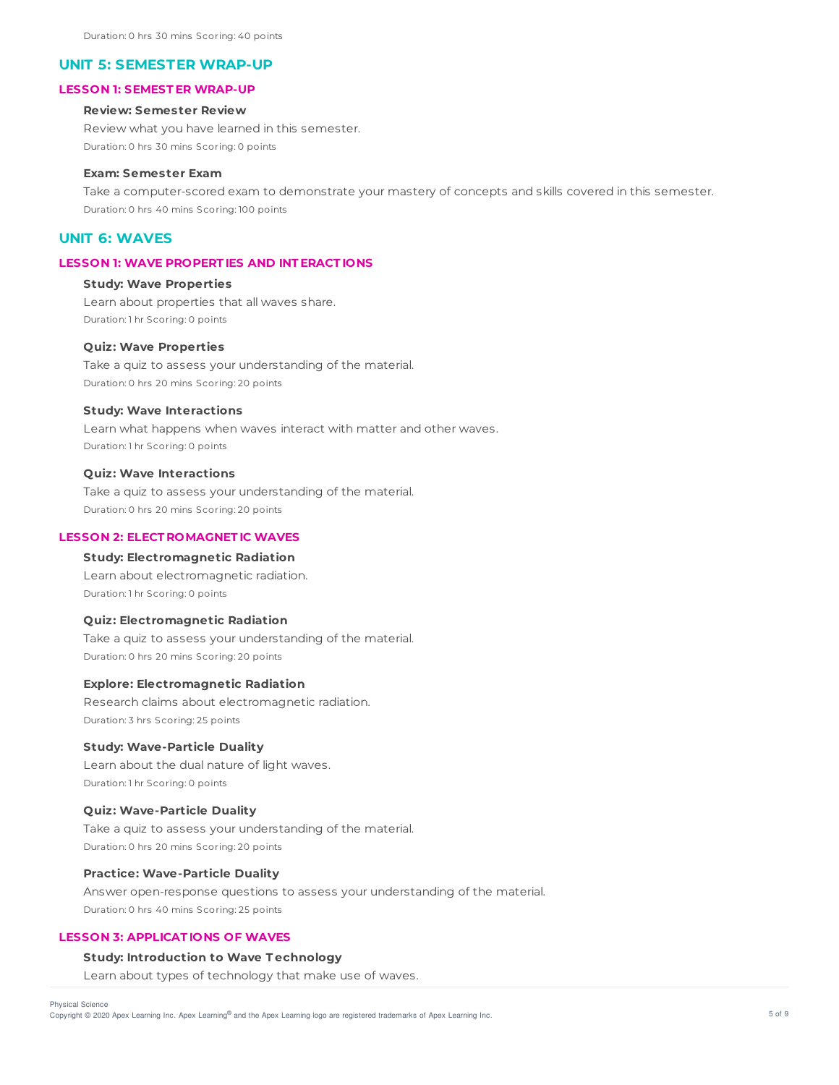## **UNIT 5: SEMESTER WRAP-UP**

## **LESSON 1: SEMEST ER WRAP-UP**

# **Review: Semester Review**

Review what you have learned in this semester. Duration: 0 hrs 30 mins Scoring: 0 points

## **Exam: Semester Exam**

Take a computer-scored exam to demonstrate your mastery of concepts and skills covered in this semester. Duration: 0 hrs 40 mins Scoring: 100 points

# **UNIT 6: WAVES**

# **LESSON 1: WAVE PROPERT IES AND INT ERACT IONS**

### **Study: Wave Properties**

Learn about properties that all waves share. Duration: 1 hr Scoring: 0 points

## **Quiz: Wave Properties**

Take a quiz to assess your understanding of the material. Duration: 0 hrs 20 mins Scoring: 20 points

# **Study: Wave Interactions**

Learn what happens when waves interact with matter and other waves. Duration: 1 hr Scoring: 0 points

#### **Quiz: Wave Interactions**

Take a quiz to assess your understanding of the material. Duration: 0 hrs 20 mins Scoring: 20 points

## **LESSON 2: ELECT ROMAGNET IC WAVES**

# **Study: Electromagnetic Radiation**

Learn about electromagnetic radiation. Duration: 1 hr Scoring: 0 points

### **Quiz: Electromagnetic Radiation**

Take a quiz to assess your understanding of the material. Duration: 0 hrs 20 mins Scoring: 20 points

## **Explore: Electromagnetic Radiation**

Research claims about electromagnetic radiation. Duration: 3 hrs Scoring: 25 points

## **Study: Wave-Particle Duality**

Learn about the dual nature of light waves. Duration: 1 hr Scoring: 0 points

## **Quiz: Wave-Particle Duality**

Take a quiz to assess your understanding of the material. Duration: 0 hrs 20 mins Scoring: 20 points

## **Practice: Wave-Particle Duality**

Answer open-response questions to assess your understanding of the material. Duration: 0 hrs 40 mins Scoring: 25 points

#### **LESSON 3: APPLICAT IONS OF WAVES**

#### **Study: Introduction to Wave T echnology**

Learn about types of technology that make use of waves.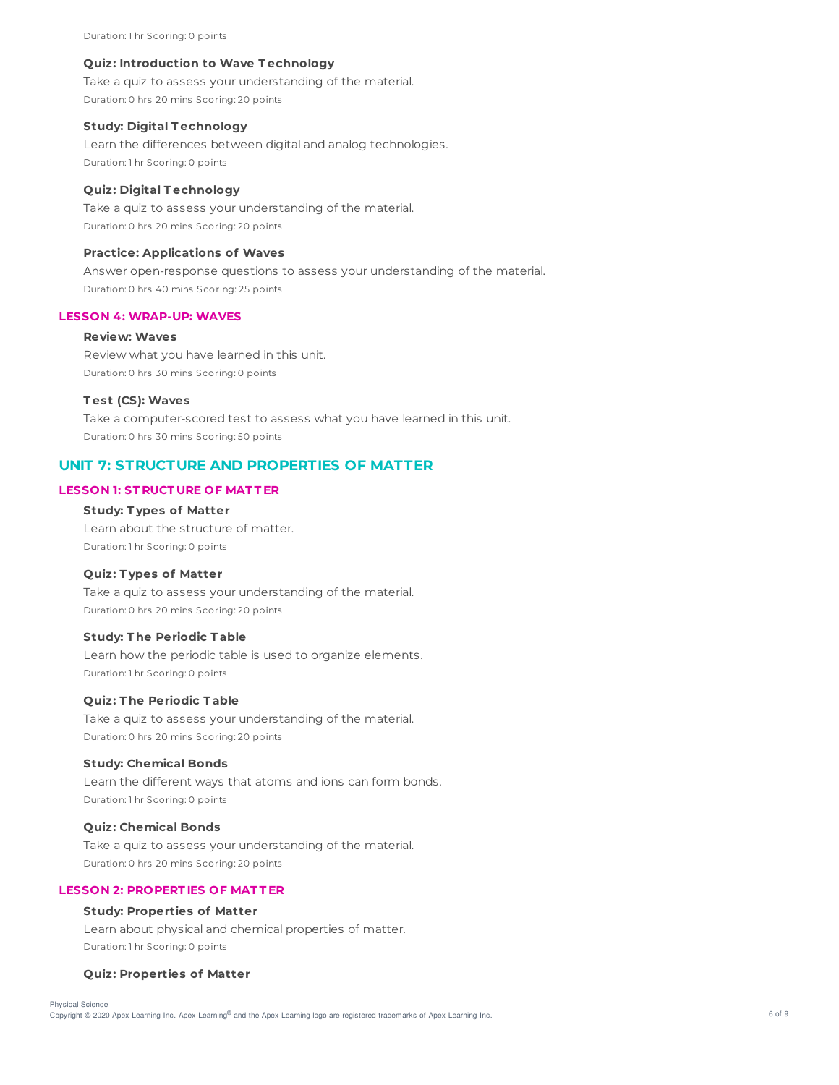Duration: 1 hr Scoring: 0 points

#### **Quiz: Introduction to Wave T echnology**

Take a quiz to assess your understanding of the material. Duration: 0 hrs 20 mins Scoring: 20 points

## **Study: Digital T echnology**

Learn the differences between digital and analog technologies. Duration: 1 hr Scoring: 0 points

## **Quiz: Digital T echnology**

Take a quiz to assess your understanding of the material. Duration: 0 hrs 20 mins Scoring: 20 points

#### **Practice: Applications of Waves**

Answer open-response questions to assess your understanding of the material. Duration: 0 hrs 40 mins Scoring: 25 points

# **LESSON 4: WRAP-UP: WAVES**

#### **Review: Waves**

Review what you have learned in this unit. Duration: 0 hrs 30 mins Scoring: 0 points

#### **T est (CS): Waves**

Take a computer-scored test to assess what you have learned in this unit. Duration: 0 hrs 30 mins Scoring: 50 points

# **UNIT 7: STRUCTURE AND PROPERTIES OF MATTER**

# **LESSON 1: ST RUCT URE OF MAT T ER**

## **Study: T ypes of Matter**

Learn about the structure of matter. Duration: 1 hr Scoring: 0 points

#### **Quiz: T ypes of Matter**

Take a quiz to assess your understanding of the material. Duration: 0 hrs 20 mins Scoring: 20 points

# **Study: T he Periodic T able**

Learn how the periodic table is used to organize elements. Duration: 1 hr Scoring: 0 points

## **Quiz: T he Periodic T able**

Take a quiz to assess your understanding of the material. Duration: 0 hrs 20 mins Scoring: 20 points

## **Study: Chemical Bonds**

Learn the different ways that atoms and ions can form bonds. Duration: 1 hr Scoring: 0 points

# **Quiz: Chemical Bonds**

Take a quiz to assess your understanding of the material. Duration: 0 hrs 20 mins Scoring: 20 points

# **LESSON 2: PROPERT IES OF MAT T ER**

# **Study: Properties of Matter**

Learn about physical and chemical properties of matter. Duration: 1 hr Scoring: 0 points

#### **Quiz: Properties of Matter**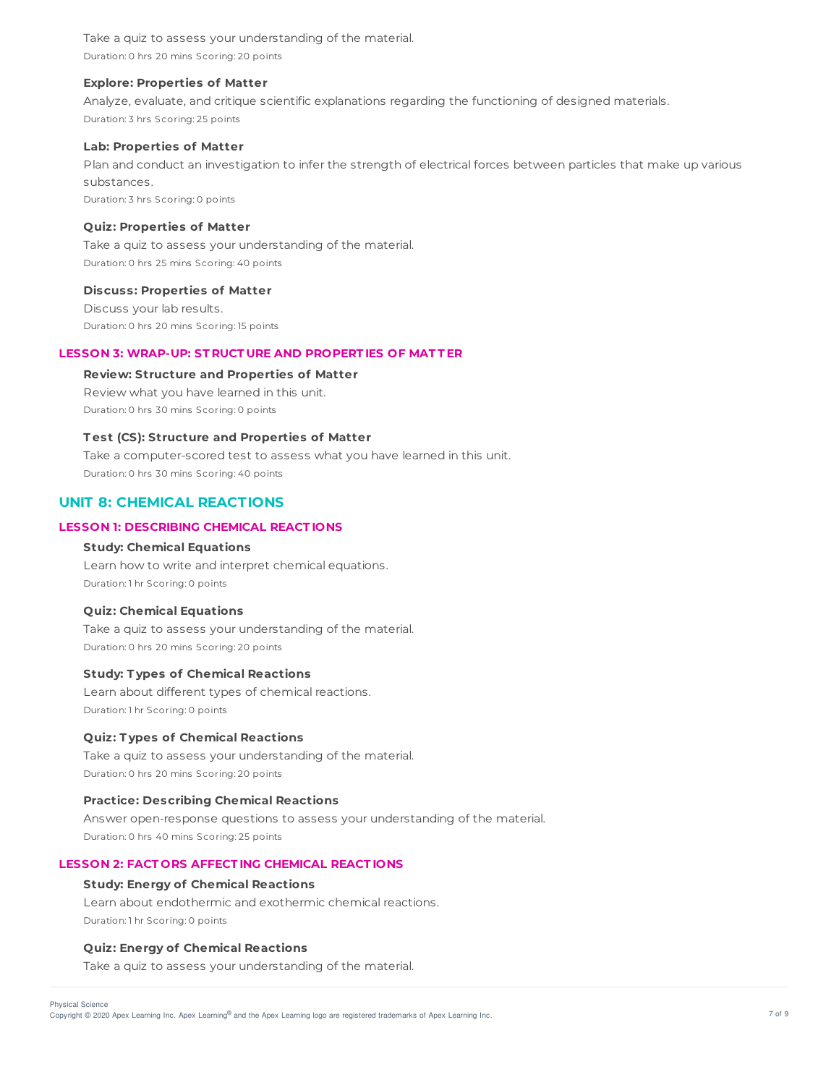Take a quiz to assess your understanding of the material. Duration: 0 hrs 20 mins Scoring: 20 points

### **Explore: Properties of Matter**

Analyze, evaluate, and critique scientific explanations regarding the functioning of designed materials. Duration: 3 hrs Scoring: 25 points

#### **Lab: Properties of Matter**

Plan and conduct an investigation to infer the strength of electrical forces between particles that make up various substances.

Duration: 3 hrs Scoring: 0 points

## **Quiz: Properties of Matter**

Take a quiz to assess your understanding of the material. Duration: 0 hrs 25 mins Scoring: 40 points

#### **Discuss: Properties of Matter**

Discuss your lab results. Duration: 0 hrs 20 mins Scoring: 15 points

# **LESSON 3: WRAP-UP: ST RUCT URE AND PROPERT IES OF MAT T ER**

# **Review: Structure and Properties of Matter**

Review what you have learned in this unit. Duration: 0 hrs 30 mins Scoring: 0 points

# **T est (CS): Structure and Properties of Matter**

Take a computer-scored test to assess what you have learned in this unit. Duration: 0 hrs 30 mins Scoring: 40 points

# **UNIT 8: CHEMICAL REACTIONS**

# **LESSON 1: DESCRIBING CHEMICAL REACT IONS**

# **Study: Chemical Equations**

Learn how to write and interpret chemical equations. Duration: 1 hr Scoring: 0 points

## **Quiz: Chemical Equations**

Take a quiz to assess your understanding of the material. Duration: 0 hrs 20 mins Scoring: 20 points

#### **Study: T ypes of Chemical Reactions**

Learn about different types of chemical reactions. Duration: 1 hr Scoring: 0 points

## **Quiz: T ypes of Chemical Reactions**

Take a quiz to assess your understanding of the material. Duration: 0 hrs 20 mins Scoring: 20 points

## **Practice: Describing Chemical Reactions**

Answer open-response questions to assess your understanding of the material. Duration: 0 hrs 40 mins Scoring: 25 points

#### **LESSON 2: FACT ORS AFFECT ING CHEMICAL REACT IONS**

#### **Study: Energy of Chemical Reactions**

Learn about endothermic and exothermic chemical reactions. Duration: 1 hr Scoring: 0 points

## **Quiz: Energy of Chemical Reactions**

Take a quiz to assess your understanding of the material.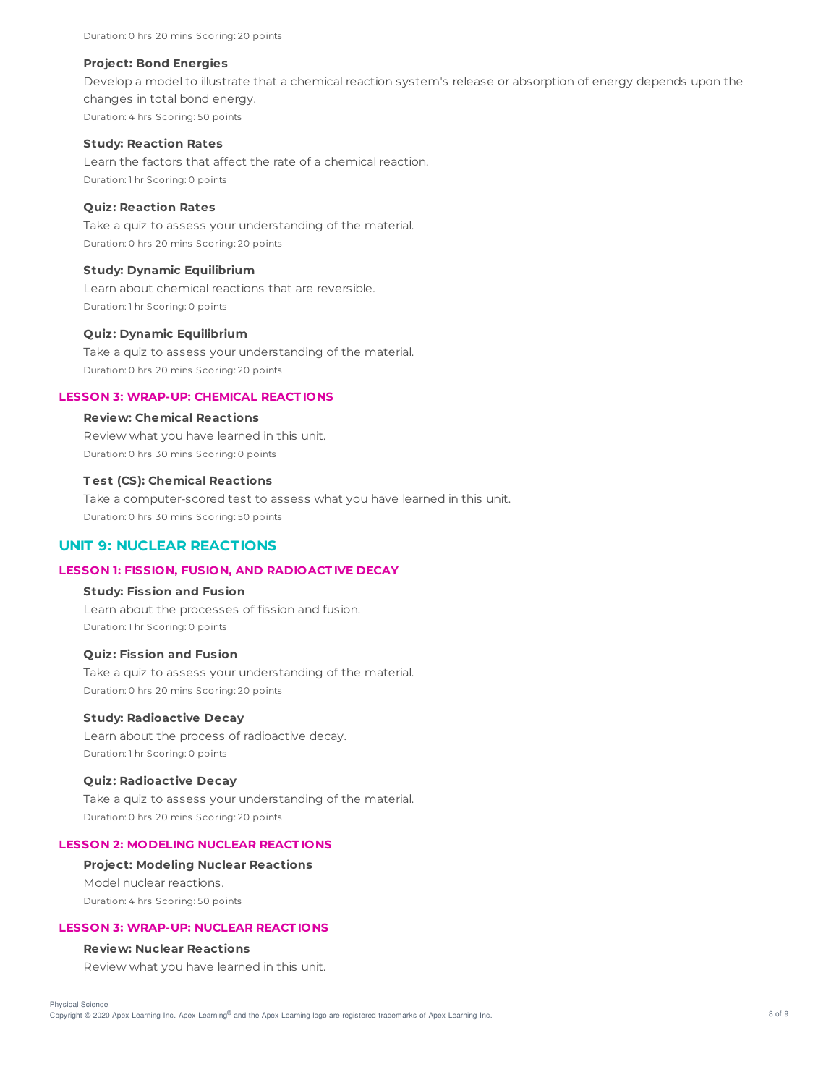Duration: 0 hrs 20 mins Scoring: 20 points

#### **Project: Bond Energies**

Develop a model to illustrate that a chemical reaction system's release or absorption of energy depends upon the changes in total bond energy. Duration: 4 hrs Scoring: 50 points

#### **Study: Reaction Rates**

Learn the factors that affect the rate of a chemical reaction. Duration: 1 hr Scoring: 0 points

## **Quiz: Reaction Rates**

Take a quiz to assess your understanding of the material. Duration: 0 hrs 20 mins Scoring: 20 points

## **Study: Dynamic Equilibrium**

Learn about chemical reactions that are reversible. Duration: 1 hr Scoring: 0 points

#### **Quiz: Dynamic Equilibrium**

Take a quiz to assess your understanding of the material. Duration: 0 hrs 20 mins Scoring: 20 points

#### **LESSON 3: WRAP-UP: CHEMICAL REACT IONS**

# **Review: Chemical Reactions**

Review what you have learned in this unit. Duration: 0 hrs 30 mins Scoring: 0 points

## **T est (CS): Chemical Reactions**

Take a computer-scored test to assess what you have learned in this unit. Duration: 0 hrs 30 mins Scoring: 50 points

# **UNIT 9: NUCLEAR REACTIONS**

### **LESSON 1: FISSION, FUSION, AND RADIOACT IVE DECAY**

# **Study: Fission and Fusion**

Learn about the processes of fission and fusion. Duration: 1 hr Scoring: 0 points

### **Quiz: Fission and Fusion**

Take a quiz to assess your understanding of the material. Duration: 0 hrs 20 mins Scoring: 20 points

#### **Study: Radioactive Decay**

Learn about the process of radioactive decay. Duration: 1 hr Scoring: 0 points

#### **Quiz: Radioactive Decay**

Take a quiz to assess your understanding of the material. Duration: 0 hrs 20 mins Scoring: 20 points

# **LESSON 2: MODELING NUCLEAR REACT IONS**

#### **Project: Modeling Nuclear Reactions**

Model nuclear reactions. Duration: 4 hrs Scoring: 50 points

## **LESSON 3: WRAP-UP: NUCLEAR REACT IONS**

# **Review: Nuclear Reactions**

Review what you have learned in this unit.